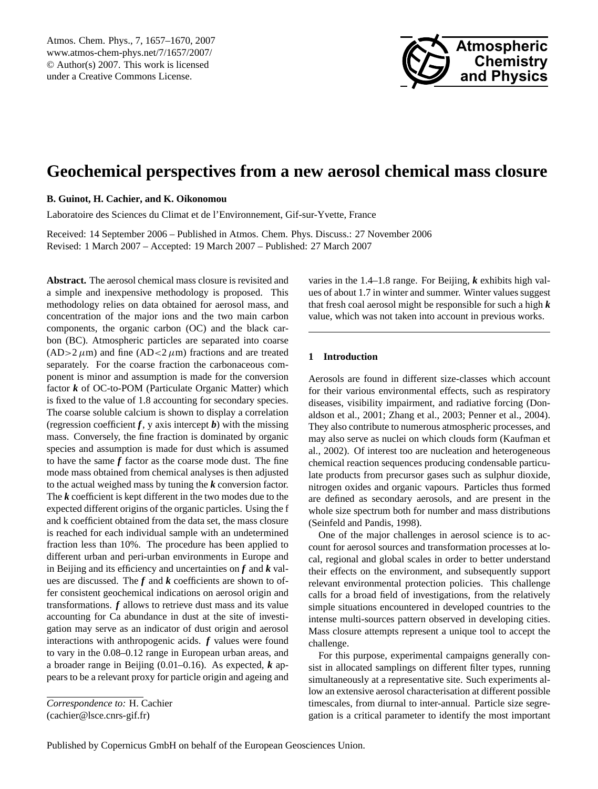<span id="page-0-0"></span>Atmos. Chem. Phys., 7, 1657–1670, 2007 www.atmos-chem-phys.net/7/1657/2007/ © Author(s) 2007. This work is licensed under a Creative Commons License.



# **Geochemical perspectives from a new aerosol chemical mass closure**

**B. Guinot, H. Cachier, and K. Oikonomou**

Laboratoire des Sciences du Climat et de l'Environnement, Gif-sur-Yvette, France

Received: 14 September 2006 – Published in Atmos. Chem. Phys. Discuss.: 27 November 2006 Revised: 1 March 2007 – Accepted: 19 March 2007 – Published: 27 March 2007

**Abstract.** The aerosol chemical mass closure is revisited and a simple and inexpensive methodology is proposed. This methodology relies on data obtained for aerosol mass, and concentration of the major ions and the two main carbon components, the organic carbon (OC) and the black carbon (BC). Atmospheric particles are separated into coarse  $(AD>2 \mu m)$  and fine  $(AD<2 \mu m)$  fractions and are treated separately. For the coarse fraction the carbonaceous component is minor and assumption is made for the conversion factor *k* of OC-to-POM (Particulate Organic Matter) which is fixed to the value of 1.8 accounting for secondary species. The coarse soluble calcium is shown to display a correlation (regression coefficient  $f$ , y axis intercept  $b$ ) with the missing mass. Conversely, the fine fraction is dominated by organic species and assumption is made for dust which is assumed to have the same *f* factor as the coarse mode dust. The fine mode mass obtained from chemical analyses is then adjusted to the actual weighed mass by tuning the *k* conversion factor. The *k* coefficient is kept different in the two modes due to the expected different origins of the organic particles. Using the f and k coefficient obtained from the data set, the mass closure is reached for each individual sample with an undetermined fraction less than 10%. The procedure has been applied to different urban and peri-urban environments in Europe and in Beijing and its efficiency and uncertainties on *f* and *k* values are discussed. The *f* and *k* coefficients are shown to offer consistent geochemical indications on aerosol origin and transformations. *f* allows to retrieve dust mass and its value accounting for Ca abundance in dust at the site of investigation may serve as an indicator of dust origin and aerosol interactions with anthropogenic acids. *f* values were found to vary in the 0.08–0.12 range in European urban areas, and a broader range in Beijing (0.01–0.16). As expected, *k* appears to be a relevant proxy for particle origin and ageing and

varies in the 1.4–1.8 range. For Beijing, *k* exhibits high values of about 1.7 in winter and summer. Winter values suggest that fresh coal aerosol might be responsible for such a high *k* value, which was not taken into account in previous works.

# **1 Introduction**

Aerosols are found in different size-classes which account for their various environmental effects, such as respiratory diseases, visibility impairment, and radiative forcing (Donaldson et al., 2001; Zhang et al., 2003; Penner et al., 2004). They also contribute to numerous atmospheric processes, and may also serve as nuclei on which clouds form (Kaufman et al., 2002). Of interest too are nucleation and heterogeneous chemical reaction sequences producing condensable particulate products from precursor gases such as sulphur dioxide, nitrogen oxides and organic vapours. Particles thus formed are defined as secondary aerosols, and are present in the whole size spectrum both for number and mass distributions (Seinfeld and Pandis, 1998).

One of the major challenges in aerosol science is to account for aerosol sources and transformation processes at local, regional and global scales in order to better understand their effects on the environment, and subsequently support relevant environmental protection policies. This challenge calls for a broad field of investigations, from the relatively simple situations encountered in developed countries to the intense multi-sources pattern observed in developing cities. Mass closure attempts represent a unique tool to accept the challenge.

For this purpose, experimental campaigns generally consist in allocated samplings on different filter types, running simultaneously at a representative site. Such experiments allow an extensive aerosol characterisation at different possible timescales, from diurnal to inter-annual. Particle size segregation is a critical parameter to identify the most important

*Correspondence to:* H. Cachier (cachier@lsce.cnrs-gif.fr)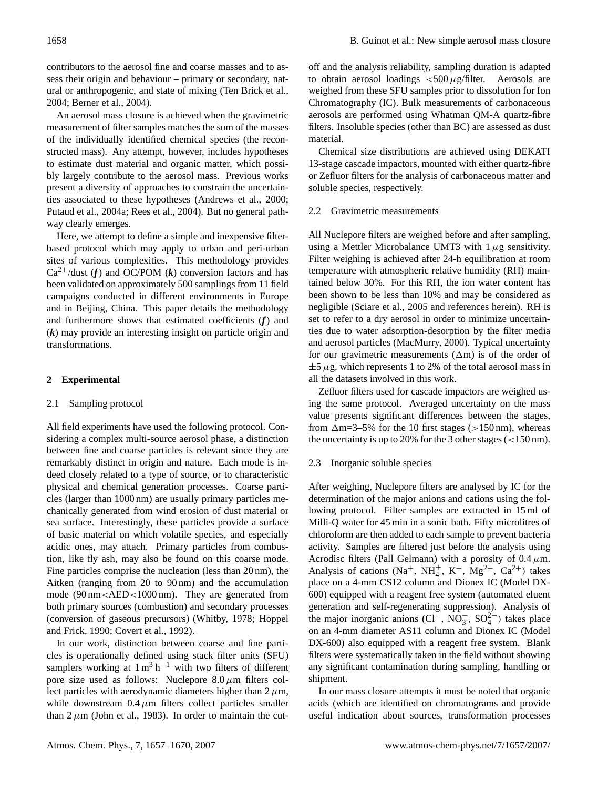contributors to the aerosol fine and coarse masses and to assess their origin and behaviour – primary or secondary, natural or anthropogenic, and state of mixing (Ten Brick et al., 2004; Berner et al., 2004).

An aerosol mass closure is achieved when the gravimetric measurement of filter samples matches the sum of the masses of the individually identified chemical species (the reconstructed mass). Any attempt, however, includes hypotheses to estimate dust material and organic matter, which possibly largely contribute to the aerosol mass. Previous works present a diversity of approaches to constrain the uncertainties associated to these hypotheses (Andrews et al., 2000; Putaud et al., 2004a; Rees et al., 2004). But no general pathway clearly emerges.

Here, we attempt to define a simple and inexpensive filterbased protocol which may apply to urban and peri-urban sites of various complexities. This methodology provides  $Ca^{2+}/$ dust (*f*) and OC/POM (*k*) conversion factors and has been validated on approximately 500 samplings from 11 field campaigns conducted in different environments in Europe and in Beijing, China. This paper details the methodology and furthermore shows that estimated coefficients (*f*) and (*k*) may provide an interesting insight on particle origin and transformations.

# **2 Experimental**

# 2.1 Sampling protocol

All field experiments have used the following protocol. Considering a complex multi-source aerosol phase, a distinction between fine and coarse particles is relevant since they are remarkably distinct in origin and nature. Each mode is indeed closely related to a type of source, or to characteristic physical and chemical generation processes. Coarse particles (larger than 1000 nm) are usually primary particles mechanically generated from wind erosion of dust material or sea surface. Interestingly, these particles provide a surface of basic material on which volatile species, and especially acidic ones, may attach. Primary particles from combustion, like fly ash, may also be found on this coarse mode. Fine particles comprise the nucleation (less than 20 nm), the Aitken (ranging from 20 to 90 nm) and the accumulation mode (90 nm<AED<1000 nm). They are generated from both primary sources (combustion) and secondary processes (conversion of gaseous precursors) (Whitby, 1978; Hoppel and Frick, 1990; Covert et al., 1992).

In our work, distinction between coarse and fine particles is operationally defined using stack filter units (SFU) samplers working at  $1 \text{ m}^3 \text{ h}^{-1}$  with two filters of different pore size used as follows: Nuclepore  $8.0 \mu m$  filters collect particles with aerodynamic diameters higher than  $2 \mu m$ , while downstream  $0.4 \mu m$  filters collect particles smaller than  $2 \mu$ m (John et al., 1983). In order to maintain the cutoff and the analysis reliability, sampling duration is adapted to obtain aerosol loadings  $\lt$  500  $\mu$ g/filter. Aerosols are weighed from these SFU samples prior to dissolution for Ion Chromatography (IC). Bulk measurements of carbonaceous aerosols are performed using Whatman QM-A quartz-fibre filters. Insoluble species (other than BC) are assessed as dust material.

Chemical size distributions are achieved using DEKATI 13-stage cascade impactors, mounted with either quartz-fibre or Zefluor filters for the analysis of carbonaceous matter and soluble species, respectively.

### 2.2 Gravimetric measurements

All Nuclepore filters are weighed before and after sampling, using a Mettler Microbalance UMT3 with  $1 \mu$ g sensitivity. Filter weighing is achieved after 24-h equilibration at room temperature with atmospheric relative humidity (RH) maintained below 30%. For this RH, the ion water content has been shown to be less than 10% and may be considered as negligible (Sciare et al., 2005 and references herein). RH is set to refer to a dry aerosol in order to minimize uncertainties due to water adsorption-desorption by the filter media and aerosol particles (MacMurry, 2000). Typical uncertainty for our gravimetric measurements  $(\Delta m)$  is of the order of  $\pm$ 5  $\mu$ g, which represents 1 to 2% of the total aerosol mass in all the datasets involved in this work.

Zefluor filters used for cascade impactors are weighed using the same protocol. Averaged uncertainty on the mass value presents significant differences between the stages, from  $\Delta m = 3-5\%$  for the 10 first stages (>150 nm), whereas the uncertainty is up to 20% for the 3 other stages  $\left($  < 150 nm).

# 2.3 Inorganic soluble species

After weighing, Nuclepore filters are analysed by IC for the determination of the major anions and cations using the following protocol. Filter samples are extracted in 15 ml of Milli-Q water for 45 min in a sonic bath. Fifty microlitres of chloroform are then added to each sample to prevent bacteria activity. Samples are filtered just before the analysis using Acrodisc filters (Pall Gelmann) with a porosity of  $0.4 \mu$ m. Analysis of cations  $(Na^+, NH_4^+, K^+, Mg^{2+}, Ca^{2+})$  takes place on a 4-mm CS12 column and Dionex IC (Model DX-600) equipped with a reagent free system (automated eluent generation and self-regenerating suppression). Analysis of the major inorganic anions (Cl<sup>−</sup>, NO<sub>3</sub>, SO<sub>4</sub><sup>2</sup>) takes place on an 4-mm diameter AS11 column and Dionex IC (Model DX-600) also equipped with a reagent free system. Blank filters were systematically taken in the field without showing any significant contamination during sampling, handling or shipment.

In our mass closure attempts it must be noted that organic acids (which are identified on chromatograms and provide useful indication about sources, transformation processes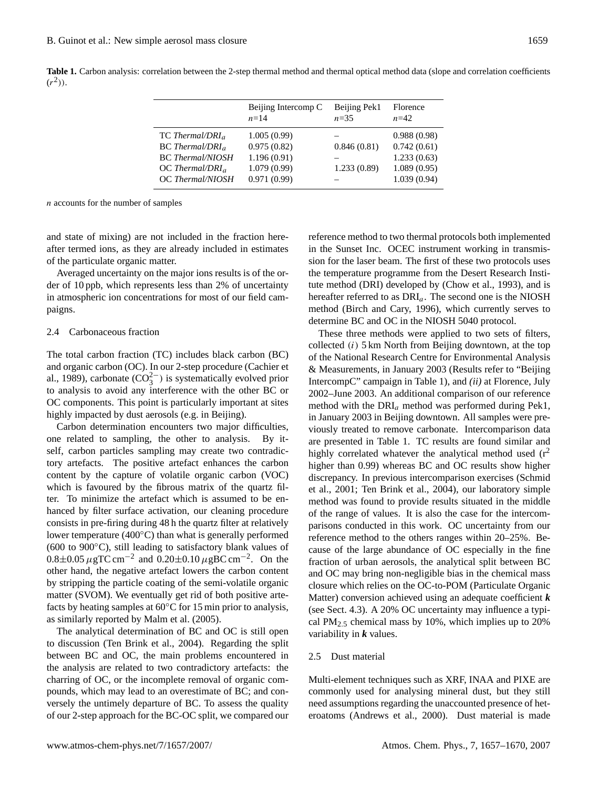**Table 1.** Carbon analysis: correlation between the 2-step thermal method and thermal optical method data (slope and correlation coefficients  $(r^2)$ ).

|                                                                                                                              | Beijing Intercomp C<br>$n=14$                                           | Beijing Pek1<br>$n = 35$   | Florence<br>$n=42$                                                      |
|------------------------------------------------------------------------------------------------------------------------------|-------------------------------------------------------------------------|----------------------------|-------------------------------------------------------------------------|
| $TC\,Thermal/DRI_a$<br>$BC\ The\n rmal/DRIa$<br><b>BC</b> Thermal/NIOSH<br>$OC$ Thermal/DRI <sub>a</sub><br>OC Thermal/NIOSH | 1.005(0.99)<br>0.975(0.82)<br>1.196(0.91)<br>1.079(0.99)<br>0.971(0.99) | 0.846(0.81)<br>1.233(0.89) | 0.988(0.98)<br>0.742(0.61)<br>1.233(0.63)<br>1.089(0.95)<br>1.039(0.94) |
|                                                                                                                              |                                                                         |                            |                                                                         |

n accounts for the number of samples

and state of mixing) are not included in the fraction hereafter termed ions, as they are already included in estimates of the particulate organic matter.

Averaged uncertainty on the major ions results is of the order of 10 ppb, which represents less than 2% of uncertainty in atmospheric ion concentrations for most of our field campaigns.

#### 2.4 Carbonaceous fraction

The total carbon fraction (TC) includes black carbon (BC) and organic carbon (OC). In our 2-step procedure (Cachier et al., 1989), carbonate  $(CO_3^{2-})$  is systematically evolved prior to analysis to avoid any interference with the other BC or OC components. This point is particularly important at sites highly impacted by dust aerosols (e.g. in Beijing).

Carbon determination encounters two major difficulties, one related to sampling, the other to analysis. By itself, carbon particles sampling may create two contradictory artefacts. The positive artefact enhances the carbon content by the capture of volatile organic carbon (VOC) which is favoured by the fibrous matrix of the quartz filter. To minimize the artefact which is assumed to be enhanced by filter surface activation, our cleaning procedure consists in pre-firing during 48 h the quartz filter at relatively lower temperature (400◦C) than what is generally performed (600 to 900◦C), still leading to satisfactory blank values of  $0.8 \pm 0.05 \,\mu g$ TC cm<sup>-2</sup> and  $0.20 \pm 0.10 \,\mu g$ BC cm<sup>-2</sup>. On the other hand, the negative artefact lowers the carbon content by stripping the particle coating of the semi-volatile organic matter (SVOM). We eventually get rid of both positive artefacts by heating samples at 60◦C for 15 min prior to analysis, as similarly reported by Malm et al. (2005).

The analytical determination of BC and OC is still open to discussion (Ten Brink et al., 2004). Regarding the split between BC and OC, the main problems encountered in the analysis are related to two contradictory artefacts: the charring of OC, or the incomplete removal of organic compounds, which may lead to an overestimate of BC; and conversely the untimely departure of BC. To assess the quality of our 2-step approach for the BC-OC split, we compared our reference method to two thermal protocols both implemented in the Sunset Inc. OCEC instrument working in transmission for the laser beam. The first of these two protocols uses the temperature programme from the Desert Research Institute method (DRI) developed by (Chow et al., 1993), and is hereafter referred to as  $DRI_a$ . The second one is the NIOSH method (Birch and Cary, 1996), which currently serves to determine BC and OC in the NIOSH 5040 protocol.

These three methods were applied to two sets of filters, collected  $(i)$  5 km North from Beijing downtown, at the top of the National Research Centre for Environmental Analysis & Measurements, in January 2003 (Results refer to "Beijing IntercompC" campaign in Table 1), and *(ii)* at Florence, July 2002–June 2003. An additional comparison of our reference method with the  $DRI_a$  method was performed during Pek1, in January 2003 in Beijing downtown. All samples were previously treated to remove carbonate. Intercomparison data are presented in Table 1. TC results are found similar and highly correlated whatever the analytical method used  $(r^2)$ higher than 0.99) whereas BC and OC results show higher discrepancy. In previous intercomparison exercises (Schmid et al., 2001; Ten Brink et al., 2004), our laboratory simple method was found to provide results situated in the middle of the range of values. It is also the case for the intercomparisons conducted in this work. OC uncertainty from our reference method to the others ranges within 20–25%. Because of the large abundance of OC especially in the fine fraction of urban aerosols, the analytical split between BC and OC may bring non-negligible bias in the chemical mass closure which relies on the OC-to-POM (Particulate Organic Matter) conversion achieved using an adequate coefficient *k* (see Sect. 4.3). A 20% OC uncertainty may influence a typical PM2.<sup>5</sup> chemical mass by 10%, which implies up to 20% variability in *k* values.

#### 2.5 Dust material

Multi-element techniques such as XRF, INAA and PIXE are commonly used for analysing mineral dust, but they still need assumptions regarding the unaccounted presence of heteroatoms (Andrews et al., 2000). Dust material is made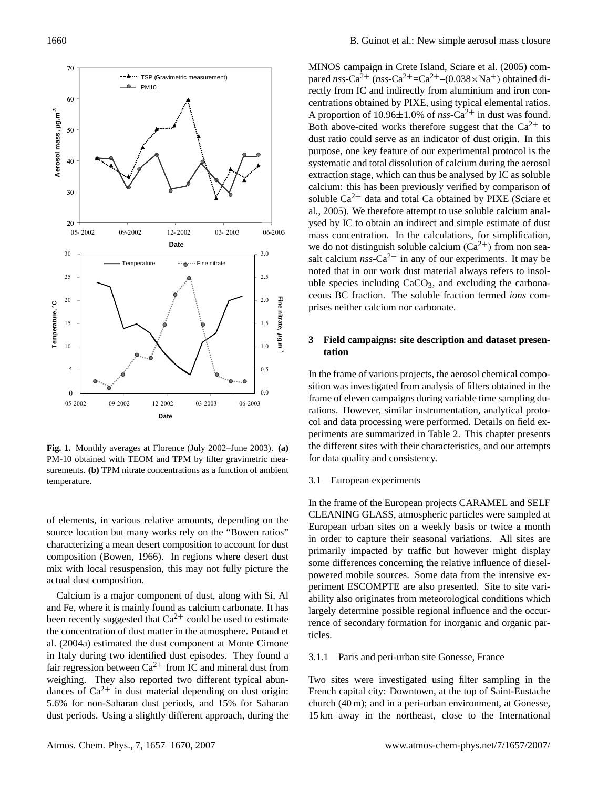

**Fig. 1.** Monthly averages at Florence (July 2002–June 2003). **(a)** PM-10 obtained with TEOM and TPM by filter gravimetric measurements. **(b)** TPM nitrate concentrations as a function of ambient temperature.

of elements, in various relative amounts, depending on the source location but many works rely on the "Bowen ratios" characterizing a mean desert composition to account for dust composition (Bowen, 1966). In regions where desert dust mix with local resuspension, this may not fully picture the actual dust composition.

Calcium is a major component of dust, along with Si, Al and Fe, where it is mainly found as calcium carbonate. It has been recently suggested that  $Ca^{2+}$  could be used to estimate the concentration of dust matter in the atmosphere. Putaud et al. (2004a) estimated the dust component at Monte Cimone in Italy during two identified dust episodes. They found a fair regression between  $Ca^{2+}$  from IC and mineral dust from weighing. They also reported two different typical abundances of  $Ca^{2+}$  in dust material depending on dust origin: 5.6% for non-Saharan dust periods, and 15% for Saharan dust periods. Using a slightly different approach, during the MINOS campaign in Crete Island, Sciare et al. (2005) compared *nss*-Ca<sup>2+</sup> (*nss*-Ca<sup>2+</sup>=Ca<sup>2+</sup>–(0.038×Na<sup>+</sup>) obtained directly from IC and indirectly from aluminium and iron concentrations obtained by PIXE, using typical elemental ratios. A proportion of  $10.96 \pm 1.0\%$  of *nss*-Ca<sup>2+</sup> in dust was found. Both above-cited works therefore suggest that the  $Ca^{2+}$  to dust ratio could serve as an indicator of dust origin. In this purpose, one key feature of our experimental protocol is the systematic and total dissolution of calcium during the aerosol extraction stage, which can thus be analysed by IC as soluble calcium: this has been previously verified by comparison of soluble  $Ca^{2+}$  data and total Ca obtained by PIXE (Sciare et al., 2005). We therefore attempt to use soluble calcium analysed by IC to obtain an indirect and simple estimate of dust mass concentration. In the calculations, for simplification, we do not distinguish soluble calcium  $(Ca^{2+})$  from non seasalt calcium  $nss$ -Ca<sup>2+</sup> in any of our experiments. It may be noted that in our work dust material always refers to insoluble species including  $CaCO<sub>3</sub>$ , and excluding the carbonaceous BC fraction. The soluble fraction termed *ions* comprises neither calcium nor carbonate.

# **3 Field campaigns: site description and dataset presentation**

In the frame of various projects, the aerosol chemical composition was investigated from analysis of filters obtained in the frame of eleven campaigns during variable time sampling durations. However, similar instrumentation, analytical protocol and data processing were performed. Details on field experiments are summarized in Table 2. This chapter presents the different sites with their characteristics, and our attempts for data quality and consistency.

# 3.1 European experiments

in order to capture their seasonal variations. All sites are In the frame of the European projects CARAMEL and SELF CLEANING GLASS, atmospheric particles were sampled at European urban sites on a weekly basis or twice a month primarily impacted by traffic but however might display some differences concerning the relative influence of dieselpowered mobile sources. Some data from the intensive experiment ESCOMPTE are also presented. Site to site variability also originates from meteorological conditions which largely determine possible regional influence and the occurrence of secondary formation for inorganic and organic particles.

#### 3.1.1 Paris and peri-urban site Gonesse, France

Two sites were investigated using filter sampling in the French capital city: Downtown, at the top of Saint-Eustache church (40 m); and in a peri-urban environment, at Gonesse, 15 km away in the northeast, close to the International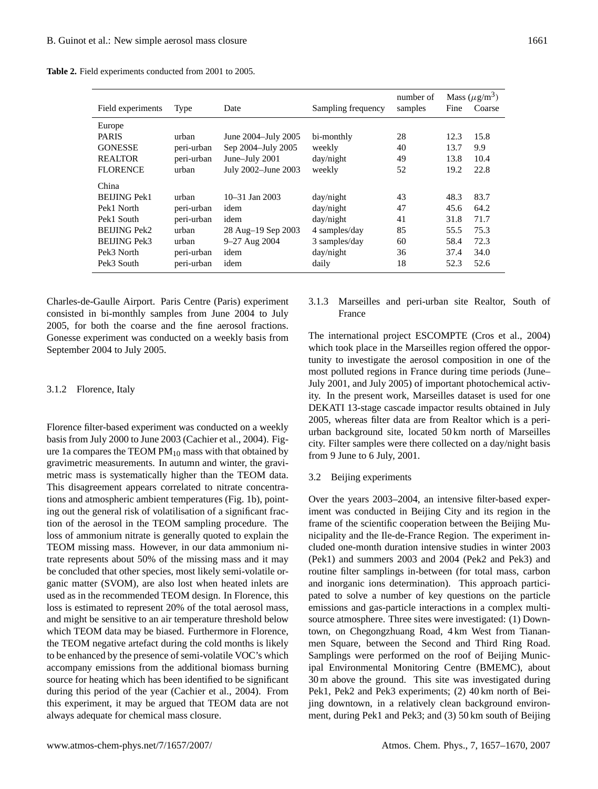|                     |            |                     |                    | number of | Mass $(\mu g/m^3)$ |        |
|---------------------|------------|---------------------|--------------------|-----------|--------------------|--------|
| Field experiments   | Type       | Date                | Sampling frequency | samples   | Fine               | Coarse |
| Europe              |            |                     |                    |           |                    |        |
| <b>PARIS</b>        | urban      | June 2004–July 2005 | bi-monthly         | 28        | 12.3               | 15.8   |
| <b>GONESSE</b>      | peri-urban | Sep 2004-July 2005  | weekly             | 40        | 13.7               | 9.9    |
| <b>REALTOR</b>      | peri-urban | June-July 2001      | day/night          | 49        | 13.8               | 10.4   |
| <b>FLORENCE</b>     | urban      | July 2002-June 2003 | weekly             | 52        | 19.2               | 22.8   |
| China               |            |                     |                    |           |                    |        |
| <b>BELIING Pek1</b> | urban      | $10-31$ Jan $2003$  | day/night          | 43        | 48.3               | 83.7   |
| Pek1 North          | peri-urban | idem                | day/night          | 47        | 45.6               | 64.2   |
| Pek1 South          | peri-urban | idem                | day/night          | 41        | 31.8               | 71.7   |
| <b>BELIING Pek2</b> | urban      | 28 Aug-19 Sep 2003  | 4 samples/day      | 85        | 55.5               | 75.3   |
| <b>BELING Pek3</b>  | urban      | 9–27 Aug 2004       | 3 samples/day      | 60        | 58.4               | 72.3   |
| Pek3 North          | peri-urban | idem                | day/night          | 36        | 37.4               | 34.0   |
| Pek3 South          | peri-urban | idem                | daily              | 18        | 52.3               | 52.6   |

**Table 2.** Field experiments conducted from 2001 to 2005.

Charles-de-Gaulle Airport. Paris Centre (Paris) experiment consisted in bi-monthly samples from June 2004 to July 2005, for both the coarse and the fine aerosol fractions. Gonesse experiment was conducted on a weekly basis from September 2004 to July 2005.

### 3.1.2 Florence, Italy

Florence filter-based experiment was conducted on a weekly basis from July 2000 to June 2003 (Cachier et al., 2004). Figure 1a compares the TEOM  $PM_{10}$  mass with that obtained by gravimetric measurements. In autumn and winter, the gravimetric mass is systematically higher than the TEOM data. This disagreement appears correlated to nitrate concentrations and atmospheric ambient temperatures (Fig. 1b), pointing out the general risk of volatilisation of a significant fraction of the aerosol in the TEOM sampling procedure. The loss of ammonium nitrate is generally quoted to explain the TEOM missing mass. However, in our data ammonium nitrate represents about 50% of the missing mass and it may be concluded that other species, most likely semi-volatile organic matter (SVOM), are also lost when heated inlets are used as in the recommended TEOM design. In Florence, this loss is estimated to represent 20% of the total aerosol mass, and might be sensitive to an air temperature threshold below which TEOM data may be biased. Furthermore in Florence, the TEOM negative artefact during the cold months is likely to be enhanced by the presence of semi-volatile VOC's which accompany emissions from the additional biomass burning source for heating which has been identified to be significant during this period of the year (Cachier et al., 2004). From this experiment, it may be argued that TEOM data are not always adequate for chemical mass closure.

3.1.3 Marseilles and peri-urban site Realtor, South of France

The international project ESCOMPTE (Cros et al., 2004) which took place in the Marseilles region offered the opportunity to investigate the aerosol composition in one of the most polluted regions in France during time periods (June– July 2001, and July 2005) of important photochemical activity. In the present work, Marseilles dataset is used for one DEKATI 13-stage cascade impactor results obtained in July 2005, whereas filter data are from Realtor which is a periurban background site, located 50 km north of Marseilles city. Filter samples were there collected on a day/night basis from 9 June to 6 July, 2001.

### 3.2 Beijing experiments

Over the years 2003–2004, an intensive filter-based experiment was conducted in Beijing City and its region in the frame of the scientific cooperation between the Beijing Municipality and the Ile-de-France Region. The experiment included one-month duration intensive studies in winter 2003 (Pek1) and summers 2003 and 2004 (Pek2 and Pek3) and routine filter samplings in-between (for total mass, carbon and inorganic ions determination). This approach participated to solve a number of key questions on the particle emissions and gas-particle interactions in a complex multisource atmosphere. Three sites were investigated: (1) Downtown, on Chegongzhuang Road, 4 km West from Tiananmen Square, between the Second and Third Ring Road. Samplings were performed on the roof of Beijing Municipal Environmental Monitoring Centre (BMEMC), about 30 m above the ground. This site was investigated during Pek1, Pek2 and Pek3 experiments; (2) 40 km north of Beijing downtown, in a relatively clean background environment, during Pek1 and Pek3; and (3) 50 km south of Beijing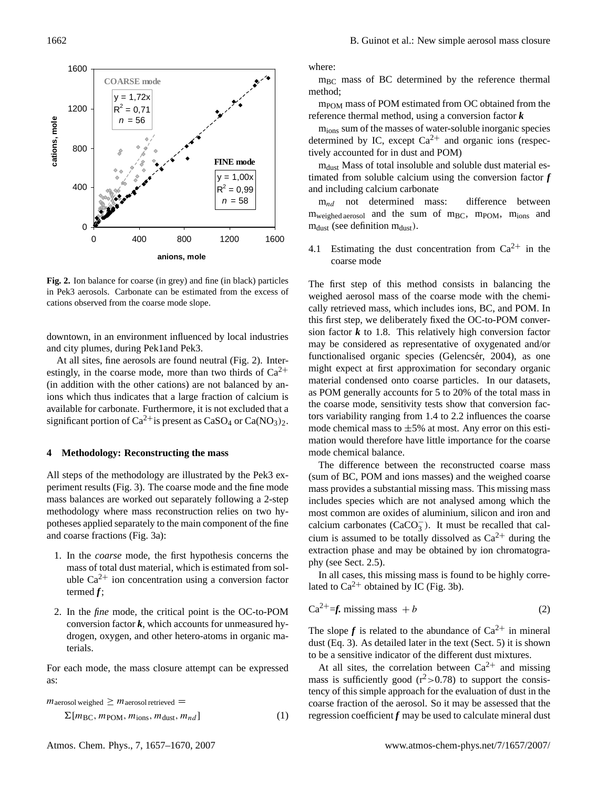

**Fig. 2.** Ion balance for coarse (in grey) and fine (in black) particles in Pek3 aerosols. Carbonate can be estimated from the excess of cations observed from the coarse mode slope.

downtown, in an environment influenced by local industries and city plumes, during Pek1and Pek3.

At all sites, fine aerosols are found neutral (Fig. 2). Interestingly, in the coarse mode, more than two thirds of  $Ca^{2+}$ (in addition with the other cations) are not balanced by anions which thus indicates that a large fraction of calcium is available for carbonate. Furthermore, it is not excluded that a significant portion of  $Ca^{2+}$  is present as  $CaSO_4$  or  $Ca(NO_3)_2$ .

### **4 Methodology: Reconstructing the mass**

All steps of the methodology are illustrated by the Pek3 experiment results (Fig. 3). The coarse mode and the fine mode mass balances are worked out separately following a 2-step methodology where mass reconstruction relies on two hypotheses applied separately to the main component of the fine and coarse fractions (Fig. 3a):

- 1. In the *coarse* mode, the first hypothesis concerns the mass of total dust material, which is estimated from soluble  $Ca^{2+}$  ion concentration using a conversion factor termed *f*;
- 2. In the *fine* mode, the critical point is the OC-to-POM conversion factor  $k$ , which accounts for unmeasured hydrogen, oxygen, and other hetero-atoms in organic materials.

For each mode, the mass closure attempt can be expressed as:

$$
m_{\text{aerosol weighted}} \geq m_{\text{aerosol retrieved}} =
$$

 $\Sigma[m_{\text{BC}}, m_{\text{POM}}, m_{\text{ions}}, m_{\text{dust}}, m_{nd}]$  (1)

where:

 $m_{BC}$  mass of BC determined by the reference thermal method;

 $m_{\text{POM}}$  mass of POM estimated from OC obtained from the reference thermal method, using a conversion factor *k*

mions sum of the masses of water-soluble inorganic species determined by IC, except  $Ca^{2+}$  and organic ions (respectively accounted for in dust and POM)

m<sub>dust</sub> Mass of total insoluble and soluble dust material estimated from soluble calcium using the conversion factor *f* and including calcium carbonate

 $m_{nd}$  not determined mass: difference between  $m_{weighted \, aerosol}$  and the sum of  $m_{BC}$ ,  $m_{POM}$ ,  $m_{ions}$  and  $m_{dust}$  (see definition  $m_{dust}$ ).

4.1 Estimating the dust concentration from  $Ca^{2+}$  in the coarse mode

The first step of this method consists in balancing the weighed aerosol mass of the coarse mode with the chemically retrieved mass, which includes ions, BC, and POM. In this first step, we deliberately fixed the OC-to-POM conversion factor  $k$  to 1.8. This relatively high conversion factor may be considered as representative of oxygenated and/or functionalised organic species (Gelencsér, 2004), as one might expect at first approximation for secondary organic material condensed onto coarse particles. In our datasets, as POM generally accounts for 5 to 20% of the total mass in the coarse mode, sensitivity tests show that conversion factors variability ranging from 1.4 to 2.2 influences the coarse mode chemical mass to  $\pm 5\%$  at most. Any error on this estimation would therefore have little importance for the coarse mode chemical balance.

calcium carbonates ( $CaCO<sub>3</sub><sup>-</sup>$ ). It must be recalled that cal-The difference between the reconstructed coarse mass (sum of BC, POM and ions masses) and the weighed coarse mass provides a substantial missing mass. This missing mass includes species which are not analysed among which the most common are oxides of aluminium, silicon and iron and cium is assumed to be totally dissolved as  $Ca^{2+}$  during the extraction phase and may be obtained by ion chromatography (see Sect. 2.5).

In all cases, this missing mass is found to be highly correlated to  $Ca^{2+}$  obtained by IC (Fig. 3b).

$$
Ca^{2+} = f \text{. missing mass } + b \tag{2}
$$

The slope  $f$  is related to the abundance of  $Ca^{2+}$  in mineral dust (Eq. 3). As detailed later in the text (Sect. 5) it is shown to be a sensitive indicator of the different dust mixtures.

At all sites, the correlation between  $Ca^{2+}$  and missing mass is sufficiently good  $(r^2>0.78)$  to support the consistency of this simple approach for the evaluation of dust in the coarse fraction of the aerosol. So it may be assessed that the regression coefficient  $f$  may be used to calculate mineral dust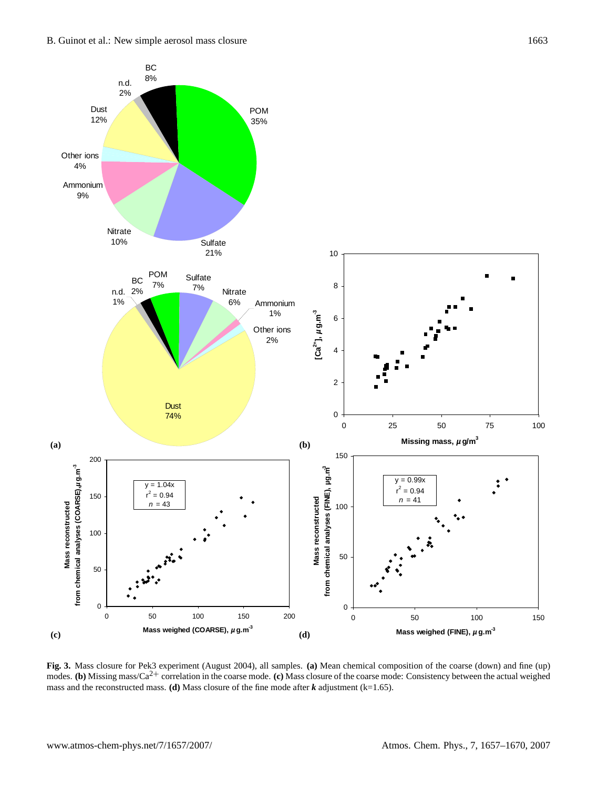

**Fig. 3.** Mass closure for Pek3 experiment (August 2004), all samples. **(a)** Mean chemical composition of the coarse (down) and fine (up) modes. **(b)** Missing mass/Ca<sup>2+</sup> correlation in the coarse mode. **(c)** Mass closure of the coarse mode: Consistency between the actual weighed mass and the reconstructed mass. **(d)** Mass closure of the fine mode after  $k$  adjustment (k=1.65).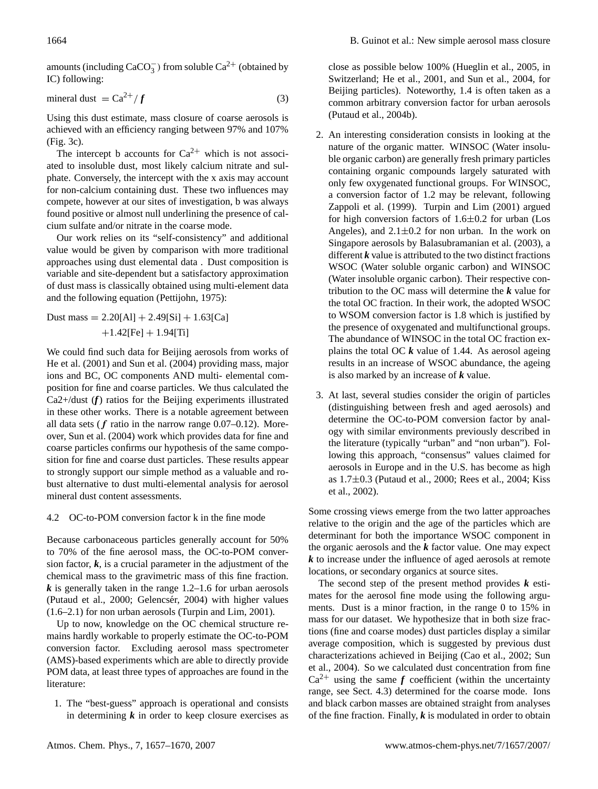amounts (including  $CaCO<sub>3</sub><sup>-</sup>$ ) from soluble  $Ca<sup>2+</sup>$  (obtained by IC) following:

$$
mineral dust = Ca2+/f
$$
 (3)

Using this dust estimate, mass closure of coarse aerosols is achieved with an efficiency ranging between 97% and 107% (Fig. 3c).

The intercept b accounts for  $Ca^{2+}$  which is not associated to insoluble dust, most likely calcium nitrate and sulphate. Conversely, the intercept with the x axis may account for non-calcium containing dust. These two influences may compete, however at our sites of investigation, b was always found positive or almost null underlining the presence of calcium sulfate and/or nitrate in the coarse mode.

Our work relies on its "self-consistency" and additional value would be given by comparison with more traditional approaches using dust elemental data . Dust composition is variable and site-dependent but a satisfactory approximation of dust mass is classically obtained using multi-element data and the following equation (Pettijohn, 1975):

Dust mass = 
$$
2.20[A1] + 2.49[Si] + 1.63[Ca]
$$
  
+ $1.42[Fe] + 1.94[Ti]$ 

We could find such data for Beijing aerosols from works of He et al. (2001) and Sun et al. (2004) providing mass, major ions and BC, OC components AND multi- elemental composition for fine and coarse particles. We thus calculated the Ca2+/dust (*f*) ratios for the Beijing experiments illustrated in these other works. There is a notable agreement between all data sets ( $f$  ratio in the narrow range 0.07–0.12). Moreover, Sun et al. (2004) work which provides data for fine and coarse particles confirms our hypothesis of the same composition for fine and coarse dust particles. These results appear to strongly support our simple method as a valuable and robust alternative to dust multi-elemental analysis for aerosol mineral dust content assessments.

# 4.2 OC-to-POM conversion factor k in the fine mode

Because carbonaceous particles generally account for 50% to 70% of the fine aerosol mass, the OC-to-POM conversion factor,  $k$ , is a crucial parameter in the adjustment of the chemical mass to the gravimetric mass of this fine fraction. *k* is generally taken in the range 1.2–1.6 for urban aerosols (Putaud et al., 2000; Gelencsér, 2004) with higher values (1.6–2.1) for non urban aerosols (Turpin and Lim, 2001).

Up to now, knowledge on the OC chemical structure remains hardly workable to properly estimate the OC-to-POM conversion factor. Excluding aerosol mass spectrometer (AMS)-based experiments which are able to directly provide POM data, at least three types of approaches are found in the literature:

1. The "best-guess" approach is operational and consists in determining  $k$  in order to keep closure exercises as close as possible below 100% (Hueglin et al., 2005, in Switzerland; He et al., 2001, and Sun et al., 2004, for Beijing particles). Noteworthy, 1.4 is often taken as a common arbitrary conversion factor for urban aerosols (Putaud et al., 2004b).

- 2. An interesting consideration consists in looking at the nature of the organic matter. WINSOC (Water insoluble organic carbon) are generally fresh primary particles containing organic compounds largely saturated with only few oxygenated functional groups. For WINSOC, a conversion factor of 1.2 may be relevant, following Zappoli et al. (1999). Turpin and Lim (2001) argued for high conversion factors of  $1.6\pm0.2$  for urban (Los Angeles), and  $2.1 \pm 0.2$  for non urban. In the work on Singapore aerosols by Balasubramanian et al. (2003), a different *k* value is attributed to the two distinct fractions WSOC (Water soluble organic carbon) and WINSOC (Water insoluble organic carbon). Their respective contribution to the OC mass will determine the *k* value for the total OC fraction. In their work, the adopted WSOC to WSOM conversion factor is 1.8 which is justified by the presence of oxygenated and multifunctional groups. The abundance of WINSOC in the total OC fraction explains the total OC  $k$  value of 1.44. As aerosol ageing results in an increase of WSOC abundance, the ageing is also marked by an increase of *k* value.
- 3. At last, several studies consider the origin of particles (distinguishing between fresh and aged aerosols) and determine the OC-to-POM conversion factor by analogy with similar environments previously described in the literature (typically "urban" and "non urban"). Following this approach, "consensus" values claimed for aerosols in Europe and in the U.S. has become as high as 1.7±0.3 (Putaud et al., 2000; Rees et al., 2004; Kiss et al., 2002).

Some crossing views emerge from the two latter approaches relative to the origin and the age of the particles which are determinant for both the importance WSOC component in the organic aerosols and the *k* factor value. One may expect *k* to increase under the influence of aged aerosols at remote locations, or secondary organics at source sites.

The second step of the present method provides *k* estimates for the aerosol fine mode using the following arguments. Dust is a minor fraction, in the range 0 to 15% in mass for our dataset. We hypothesize that in both size fractions (fine and coarse modes) dust particles display a similar average composition, which is suggested by previous dust characterizations achieved in Beijing (Cao et al., 2002; Sun et al., 2004). So we calculated dust concentration from fine  $Ca^{2+}$  using the same *f* coefficient (within the uncertainty range, see Sect. 4.3) determined for the coarse mode. Ions and black carbon masses are obtained straight from analyses of the fine fraction. Finally,  $k$  is modulated in order to obtain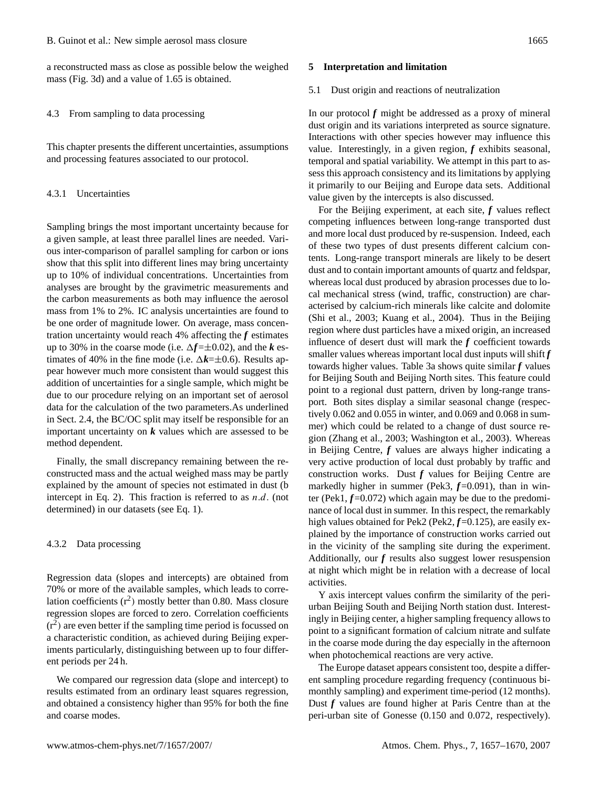a reconstructed mass as close as possible below the weighed mass (Fig. 3d) and a value of 1.65 is obtained.

4.3 From sampling to data processing

This chapter presents the different uncertainties, assumptions and processing features associated to our protocol.

4.3.1 Uncertainties

Sampling brings the most important uncertainty because for a given sample, at least three parallel lines are needed. Various inter-comparison of parallel sampling for carbon or ions show that this split into different lines may bring uncertainty up to 10% of individual concentrations. Uncertainties from analyses are brought by the gravimetric measurements and the carbon measurements as both may influence the aerosol mass from 1% to 2%. IC analysis uncertainties are found to be one order of magnitude lower. On average, mass concentration uncertainty would reach 4% affecting the *f* estimates up to 30% in the coarse mode (i.e.  $\Delta f = \pm 0.02$ ), and the *k* estimates of 40% in the fine mode (i.e.  $\Delta k = \pm 0.6$ ). Results appear however much more consistent than would suggest this addition of uncertainties for a single sample, which might be due to our procedure relying on an important set of aerosol data for the calculation of the two parameters.As underlined in Sect. 2.4, the BC/OC split may itself be responsible for an important uncertainty on *k* values which are assessed to be method dependent.

Finally, the small discrepancy remaining between the reconstructed mass and the actual weighed mass may be partly explained by the amount of species not estimated in dust (b intercept in Eq. 2). This fraction is referred to as  $n.d.$  (not determined) in our datasets (see Eq. 1).

#### 4.3.2 Data processing

Regression data (slopes and intercepts) are obtained from 70% or more of the available samples, which leads to correlation coefficients  $(r^2)$  mostly better than 0.80. Mass closure regression slopes are forced to zero. Correlation coefficients  $(r<sup>2</sup>)$  are even better if the sampling time period is focussed on a characteristic condition, as achieved during Beijing experiments particularly, distinguishing between up to four different periods per 24 h.

We compared our regression data (slope and intercept) to results estimated from an ordinary least squares regression, and obtained a consistency higher than 95% for both the fine and coarse modes.

#### **5 Interpretation and limitation**

#### 5.1 Dust origin and reactions of neutralization

In our protocol  $f$  might be addressed as a proxy of mineral dust origin and its variations interpreted as source signature. Interactions with other species however may influence this value. Interestingly, in a given region, *f* exhibits seasonal, temporal and spatial variability. We attempt in this part to assess this approach consistency and its limitations by applying it primarily to our Beijing and Europe data sets. Additional value given by the intercepts is also discussed.

For the Beijing experiment, at each site, *f* values reflect competing influences between long-range transported dust and more local dust produced by re-suspension. Indeed, each of these two types of dust presents different calcium contents. Long-range transport minerals are likely to be desert dust and to contain important amounts of quartz and feldspar, whereas local dust produced by abrasion processes due to local mechanical stress (wind, traffic, construction) are characterised by calcium-rich minerals like calcite and dolomite (Shi et al., 2003; Kuang et al., 2004). Thus in the Beijing region where dust particles have a mixed origin, an increased influence of desert dust will mark the *f* coefficient towards smaller values whereas important local dust inputs will shift *f* towards higher values. Table 3a shows quite similar *f* values for Beijing South and Beijing North sites. This feature could point to a regional dust pattern, driven by long-range transport. Both sites display a similar seasonal change (respectively 0.062 and 0.055 in winter, and 0.069 and 0.068 in summer) which could be related to a change of dust source region (Zhang et al., 2003; Washington et al., 2003). Whereas in Beijing Centre, *f* values are always higher indicating a very active production of local dust probably by traffic and construction works. Dust  $f$  values for Beijing Centre are markedly higher in summer (Pek3,  $f=0.091$ ), than in winter (Pek1,  $f=0.072$ ) which again may be due to the predominance of local dust in summer. In this respect, the remarkably high values obtained for Pek2 (Pek2,  $f=0.125$ ), are easily explained by the importance of construction works carried out in the vicinity of the sampling site during the experiment. Additionally, our *f* results also suggest lower resuspension at night which might be in relation with a decrease of local activities.

Y axis intercept values confirm the similarity of the periurban Beijing South and Beijing North station dust. Interestingly in Beijing center, a higher sampling frequency allows to point to a significant formation of calcium nitrate and sulfate in the coarse mode during the day especially in the afternoon when photochemical reactions are very active.

The Europe dataset appears consistent too, despite a different sampling procedure regarding frequency (continuous bimonthly sampling) and experiment time-period (12 months). Dust *f* values are found higher at Paris Centre than at the peri-urban site of Gonesse (0.150 and 0.072, respectively).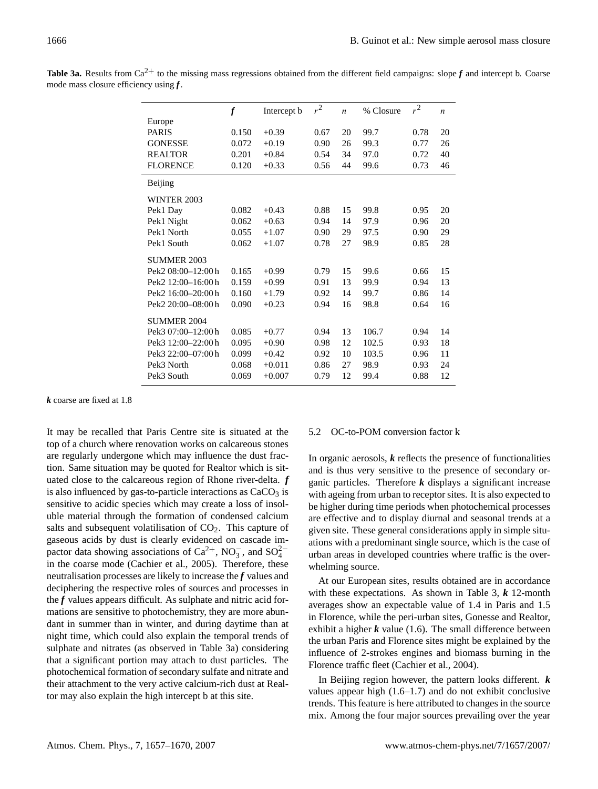|                    | $\boldsymbol{f}$ | Intercept b | $r^2$ | $\boldsymbol{n}$ | % Closure | $r^2$ | $\boldsymbol{n}$ |
|--------------------|------------------|-------------|-------|------------------|-----------|-------|------------------|
| Europe             |                  |             |       |                  |           |       |                  |
| <b>PARIS</b>       | 0.150            | $+0.39$     | 0.67  | 20               | 99.7      | 0.78  | 20               |
| <b>GONESSE</b>     | 0.072            | $+0.19$     | 0.90  | 26               | 99.3      | 0.77  | 26               |
| <b>REALTOR</b>     | 0.201            | $+0.84$     | 0.54  | 34               | 97.0      | 0.72  | 40               |
| <b>FLORENCE</b>    | 0.120            | $+0.33$     | 0.56  | 44               | 99.6      | 0.73  | 46               |
| Beijing            |                  |             |       |                  |           |       |                  |
| <b>WINTER 2003</b> |                  |             |       |                  |           |       |                  |
| Pek1 Day           | 0.082            | $+0.43$     | 0.88  | 15               | 99.8      | 0.95  | 20               |
| Pek1 Night         | 0.062            | $+0.63$     | 0.94  | 14               | 97.9      | 0.96  | 20               |
| Pek1 North         | 0.055            | $+1.07$     | 0.90  | 29               | 97.5      | 0.90  | 29               |
| Pek1 South         | 0.062            | $+1.07$     | 0.78  | 27               | 98.9      | 0.85  | 28               |
| <b>SUMMER 2003</b> |                  |             |       |                  |           |       |                  |
| Pek2 08:00-12:00 h | 0.165            | $+0.99$     | 0.79  | 15               | 99.6      | 0.66  | 15               |
| Pek2 12:00-16:00h  | 0.159            | $+0.99$     | 0.91  | 13               | 99.9      | 0.94  | 13               |
| Pek2 16:00-20:00 h | 0.160            | $+1.79$     | 0.92  | 14               | 99.7      | 0.86  | 14               |
| Pek2 20:00-08:00 h | 0.090            | $+0.23$     | 0.94  | 16               | 98.8      | 0.64  | 16               |
| SUMMER 2004        |                  |             |       |                  |           |       |                  |
| Pek3 07:00-12:00 h | 0.085            | $+0.77$     | 0.94  | 13               | 106.7     | 0.94  | 14               |
| Pek3 12:00-22:00 h | 0.095            | $+0.90$     | 0.98  | 12               | 102.5     | 0.93  | 18               |
| Pek3 22:00-07:00 h | 0.099            | $+0.42$     | 0.92  | 10               | 103.5     | 0.96  | 11               |
| Pek3 North         | 0.068            | $+0.011$    | 0.86  | 27               | 98.9      | 0.93  | 24               |
| Pek3 South         | 0.069            | $+0.007$    | 0.79  | 12               | 99.4      | 0.88  | 12               |

**Table 3a.** Results from  $Ca^{2+}$  to the missing mass regressions obtained from the different field campaigns: slope  $f$  and intercept b. Coarse mode mass closure efficiency using *f*.

*k* coarse are fixed at 1.8

It may be recalled that Paris Centre site is situated at the top of a church where renovation works on calcareous stones are regularly undergone which may influence the dust fraction. Same situation may be quoted for Realtor which is situated close to the calcareous region of Rhone river-delta. *f* is also influenced by gas-to-particle interactions as  $CaCO<sub>3</sub>$  is sensitive to acidic species which may create a loss of insoluble material through the formation of condensed calcium salts and subsequent volatilisation of  $CO<sub>2</sub>$ . This capture of gaseous acids by dust is clearly evidenced on cascade impactor data showing associations of Ca<sup>2+</sup>, NO<sub>3</sub><sup>-</sup>, and SO<sub>4</sub><sup>-</sup> in the coarse mode (Cachier et al., 2005). Therefore, these neutralisation processes are likely to increase the *f* values and deciphering the respective roles of sources and processes in the *f* values appears difficult. As sulphate and nitric acid formations are sensitive to photochemistry, they are more abundant in summer than in winter, and during daytime than at night time, which could also explain the temporal trends of sulphate and nitrates (as observed in Table 3a) considering that a significant portion may attach to dust particles. The photochemical formation of secondary sulfate and nitrate and their attachment to the very active calcium-rich dust at Realtor may also explain the high intercept b at this site.

### 5.2 OC-to-POM conversion factor k

In organic aerosols,  $k$  reflects the presence of functionalities and is thus very sensitive to the presence of secondary organic particles. Therefore *k* displays a significant increase with ageing from urban to receptor sites. It is also expected to be higher during time periods when photochemical processes are effective and to display diurnal and seasonal trends at a given site. These general considerations apply in simple situations with a predominant single source, which is the case of urban areas in developed countries where traffic is the overwhelming source.

At our European sites, results obtained are in accordance with these expectations. As shown in Table 3, *k* 12-month averages show an expectable value of 1.4 in Paris and 1.5 in Florence, while the peri-urban sites, Gonesse and Realtor, exhibit a higher  $k$  value (1.6). The small difference between the urban Paris and Florence sites might be explained by the influence of 2-strokes engines and biomass burning in the Florence traffic fleet (Cachier et al., 2004).

In Beijing region however, the pattern looks different. *k* values appear high (1.6–1.7) and do not exhibit conclusive trends. This feature is here attributed to changes in the source mix. Among the four major sources prevailing over the year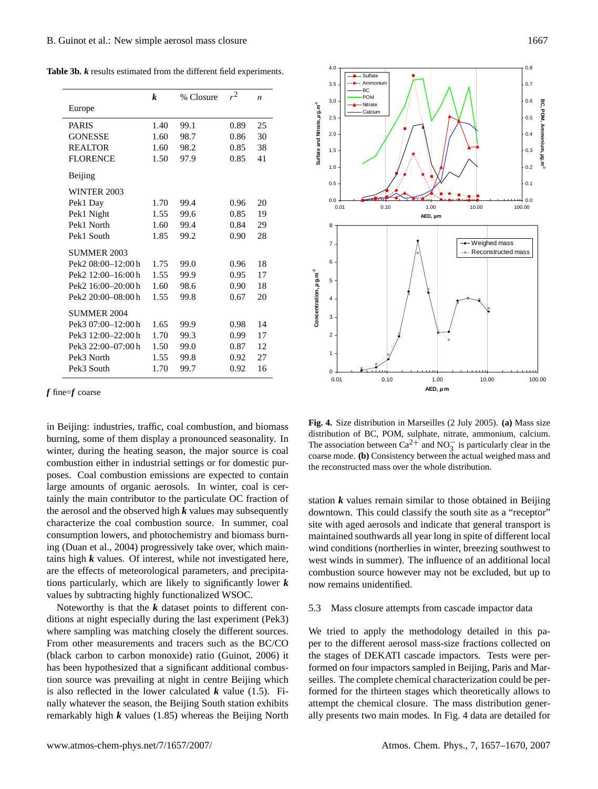**Table 3b.** *k* results estimated from the different field experiments.

|                                | k    | % Closure | $r^2$ | $\boldsymbol{n}$ |
|--------------------------------|------|-----------|-------|------------------|
| Europe                         |      |           |       |                  |
| <b>PARIS</b>                   | 1.40 | 99.1      | 0.89  | 25               |
| <b>GONESSE</b>                 | 1.60 | 98.7      | 0.86  | 30               |
| <b>REALTOR</b>                 | 1.60 | 98.2      | 0.85  | 38               |
| <b>FLORENCE</b>                | 1.50 | 97.9      | 0.85  | 41               |
| Beijing                        |      |           |       |                  |
| <b>WINTER 2003</b>             |      |           |       |                  |
| Pek1 Day                       | 1.70 | 99.4      | 0.96  | 20               |
| Pek1 Night                     | 1.55 | 99.6      | 0.85  | 19               |
| Pek1 North                     | 1.60 | 99.4      | 0.84  | 29               |
| Pek1 South                     | 1.85 | 99.2      | 0.90  | 28               |
| SUMMER 2003                    |      |           |       |                  |
| Pek2 08:00-12:00 h             | 1.75 | 99.0      | 0.96  | 18               |
| Pek2 12:00-16:00 h             | 1.55 | 99.9      | 0.95  | 17               |
| Pek2 16:00-20:00 h             | 1.60 | 98.6      | 0.90  | 18               |
| Pek <sub>2</sub> 20:00-08:00 h | 1.55 | 99.8      | 0.67  | 20               |
| <b>SUMMER 2004</b>             |      |           |       |                  |
| Pek3 07:00-12:00 h             | 1.65 | 99.9      | 0.98  | 14               |
| Pek3 12:00-22:00 h             | 1.70 | 99.3      | 0.99  | 17               |
| Pek3 22:00-07:00 h             | 1.50 | 99.0      | 0.87  | 12               |
| Pek3 North                     | 1.55 | 99.8      | 0.92  | 27               |
| Pek3 South                     | 1.70 | 99.7      | 0.92  | 16               |

#### *f* fine=*f* coarse

in Beijing: industries, traffic, coal combustion, and biomass burning, some of them display a pronounced seasonality. In winter, during the heating season, the major source is coal combustion either in industrial settings or for domestic purposes. Coal combustion emissions are expected to contain large amounts of organic aerosols. In winter, coal is certainly the main contributor to the particulate OC fraction of the aerosol and the observed high *k* values may subsequently characterize the coal combustion source. In summer, coal consumption lowers, and photochemistry and biomass burning (Duan et al., 2004) progressively take over, which maintains high *k* values. Of interest, while not investigated here, are the effects of meteorological parameters, and precipitations particularly, which are likely to significantly lower *k* values by subtracting highly functionalized WSOC.

Noteworthy is that the *k* dataset points to different conditions at night especially during the last experiment (Pek3) where sampling was matching closely the different sources. From other measurements and tracers such as the BC/CO (black carbon to carbon monoxide) ratio (Guinot, 2006) it has been hypothesized that a significant additional combustion source was prevailing at night in centre Beijing which is also reflected in the lower calculated  $k$  value (1.5). Finally whatever the season, the Beijing South station exhibits remarkably high *k* values (1.85) whereas the Beijing North



**Fig. 4.** Size distribution in Marseilles (2 July 2005). **(a)** Mass size distribution of BC, POM, sulphate, nitrate, ammonium, calcium. The association between  $Ca^{2+}$  and  $NO_3^-$  is particularly clear in the coarse mode. **(b)** Consistency between the actual weighed mass and the reconstructed mass over the whole distribution.

station  $k$  values remain similar to those obtained in Beijing downtown. This could classify the south site as a "receptor" site with aged aerosols and indicate that general transport is maintained southwards all year long in spite of different local wind conditions (northerlies in winter, breezing southwest to west winds in summer). The influence of an additional local combustion source however may not be excluded, but up to now remains unidentified.

## 5.3 Mass closure attempts from cascade impactor data

 We tried to apply the methodology detailed in this pa- the stages of DEKATI cascade impactors. Tests were perper to the different aerosol mass-size fractions collected on formed on four impactors sampled in Beijing, Paris and Marseilles. The complete chemical characterization could be performed for the thirteen stages which theoretically allows to attempt the chemical closure. The mass distribution generally presents two main modes. In Fig. 4 data are detailed for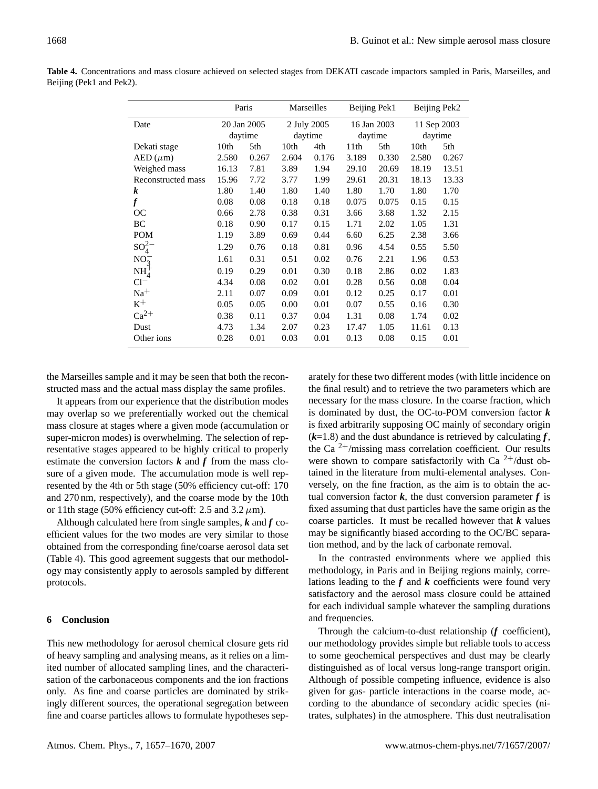|                    | Paris       |       | Marseilles  |       | Beijing Pek1 |       | Beijing Pek2 |       |
|--------------------|-------------|-------|-------------|-------|--------------|-------|--------------|-------|
| Date               | 20 Jan 2005 |       | 2 July 2005 |       | 16 Jan 2003  |       | 11 Sep 2003  |       |
|                    | daytime     |       | daytime     |       | daytime      |       | daytime      |       |
| Dekati stage       | 10th        | 5th   | 10th        | 4th   | 11th         | 5th   | 10th         | 5th   |
| $AED(\mu m)$       | 2.580       | 0.267 | 2.604       | 0.176 | 3.189        | 0.330 | 2.580        | 0.267 |
| Weighed mass       | 16.13       | 7.81  | 3.89        | 1.94  | 29.10        | 20.69 | 18.19        | 13.51 |
| Reconstructed mass | 15.96       | 7.72  | 3.77        | 1.99  | 29.61        | 20.31 | 18.13        | 13.33 |
| k                  | 1.80        | 1.40  | 1.80        | 1.40  | 1.80         | 1.70  | 1.80         | 1.70  |
| $\boldsymbol{f}$   | 0.08        | 0.08  | 0.18        | 0.18  | 0.075        | 0.075 | 0.15         | 0.15  |
| <b>OC</b>          | 0.66        | 2.78  | 0.38        | 0.31  | 3.66         | 3.68  | 1.32         | 2.15  |
| BС                 | 0.18        | 0.90  | 0.17        | 0.15  | 1.71         | 2.02  | 1.05         | 1.31  |
| <b>POM</b>         | 1.19        | 3.89  | 0.69        | 0.44  | 6.60         | 6.25  | 2.38         | 3.66  |
| $SO_4^2$           | 1.29        | 0.76  | 0.18        | 0.81  | 0.96         | 4.54  | 0.55         | 5.50  |
| NO <sub>2</sub>    | 1.61        | 0.31  | 0.51        | 0.02  | 0.76         | 2.21  | 1.96         | 0.53  |
| $NH4+$             | 0.19        | 0.29  | 0.01        | 0.30  | 0.18         | 2.86  | 0.02         | 1.83  |
| $Cl^-$             | 4.34        | 0.08  | 0.02        | 0.01  | 0.28         | 0.56  | 0.08         | 0.04  |
| $Na+$              | 2.11        | 0.07  | 0.09        | 0.01  | 0.12         | 0.25  | 0.17         | 0.01  |
| $K^+$              | 0.05        | 0.05  | 0.00        | 0.01  | 0.07         | 0.55  | 0.16         | 0.30  |
| $Ca^{2+}$          | 0.38        | 0.11  | 0.37        | 0.04  | 1.31         | 0.08  | 1.74         | 0.02  |
| Dust               | 4.73        | 1.34  | 2.07        | 0.23  | 17.47        | 1.05  | 11.61        | 0.13  |
| Other ions         | 0.28        | 0.01  | 0.03        | 0.01  | 0.13         | 0.08  | 0.15         | 0.01  |

**Table 4.** Concentrations and mass closure achieved on selected stages from DEKATI cascade impactors sampled in Paris, Marseilles, and Beijing (Pek1 and Pek2).

the Marseilles sample and it may be seen that both the reconstructed mass and the actual mass display the same profiles.

It appears from our experience that the distribution modes may overlap so we preferentially worked out the chemical mass closure at stages where a given mode (accumulation or super-micron modes) is overwhelming. The selection of representative stages appeared to be highly critical to properly estimate the conversion factors  $k$  and  $f$  from the mass closure of a given mode. The accumulation mode is well represented by the 4th or 5th stage (50% efficiency cut-off: 170 and 270 nm, respectively), and the coarse mode by the 10th or 11th stage (50% efficiency cut-off: 2.5 and 3.2  $\mu$ m).

Although calculated here from single samples, *k* and *f* coefficient values for the two modes are very similar to those obtained from the corresponding fine/coarse aerosol data set (Table 4). This good agreement suggests that our methodology may consistently apply to aerosols sampled by different protocols.

# **6 Conclusion**

This new methodology for aerosol chemical closure gets rid of heavy sampling and analysing means, as it relies on a limited number of allocated sampling lines, and the characterisation of the carbonaceous components and the ion fractions only. As fine and coarse particles are dominated by strikingly different sources, the operational segregation between fine and coarse particles allows to formulate hypotheses separately for these two different modes (with little incidence on the final result) and to retrieve the two parameters which are necessary for the mass closure. In the coarse fraction, which is dominated by dust, the OC-to-POM conversion factor *k* is fixed arbitrarily supposing OC mainly of secondary origin  $(k=1.8)$  and the dust abundance is retrieved by calculating  $f$ , the Ca  $2+$ /missing mass correlation coefficient. Our results were shown to compare satisfactorily with Ca  $2^+$ /dust obtained in the literature from multi-elemental analyses. Conversely, on the fine fraction, as the aim is to obtain the actual conversion factor  $k$ , the dust conversion parameter  $f$  is fixed assuming that dust particles have the same origin as the coarse particles. It must be recalled however that  $k$  values may be significantly biased according to the OC/BC separation method, and by the lack of carbonate removal.

In the contrasted environments where we applied this methodology, in Paris and in Beijing regions mainly, correlations leading to the  $f$  and  $k$  coefficients were found very satisfactory and the aerosol mass closure could be attained for each individual sample whatever the sampling durations and frequencies.

Through the calcium-to-dust relationship (*f* coefficient), our methodology provides simple but reliable tools to access to some geochemical perspectives and dust may be clearly distinguished as of local versus long-range transport origin. Although of possible competing influence, evidence is also given for gas- particle interactions in the coarse mode, according to the abundance of secondary acidic species (nitrates, sulphates) in the atmosphere. This dust neutralisation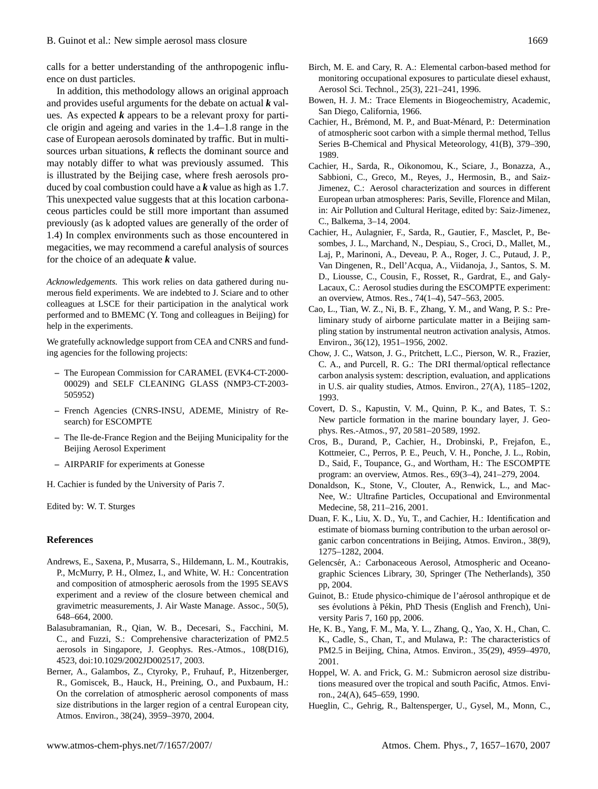calls for a better understanding of the anthropogenic influence on dust particles.

In addition, this methodology allows an original approach and provides useful arguments for the debate on actual *k* values. As expected *k* appears to be a relevant proxy for particle origin and ageing and varies in the 1.4–1.8 range in the case of European aerosols dominated by traffic. But in multisources urban situations, *k* reflects the dominant source and may notably differ to what was previously assumed. This is illustrated by the Beijing case, where fresh aerosols produced by coal combustion could have a *k* value as high as 1.7. This unexpected value suggests that at this location carbonaceous particles could be still more important than assumed previously (as k adopted values are generally of the order of 1.4) In complex environments such as those encountered in megacities, we may recommend a careful analysis of sources for the choice of an adequate *k* value.

*Acknowledgements.* This work relies on data gathered during numerous field experiments. We are indebted to J. Sciare and to other colleagues at LSCE for their participation in the analytical work performed and to BMEMC (Y. Tong and colleagues in Beijing) for help in the experiments.

We gratefully acknowledge support from CEA and CNRS and funding agencies for the following projects:

- **–** The European Commission for CARAMEL (EVK4-CT-2000- 00029) and SELF CLEANING GLASS (NMP3-CT-2003- 505952)
- **–** French Agencies (CNRS-INSU, ADEME, Ministry of Research) for ESCOMPTE
- **–** The Ile-de-France Region and the Beijing Municipality for the Beijing Aerosol Experiment
- **–** AIRPARIF for experiments at Gonesse

H. Cachier is funded by the University of Paris 7.

Edited by: W. T. Sturges

### **References**

- Andrews, E., Saxena, P., Musarra, S., Hildemann, L. M., Koutrakis, P., McMurry, P. H., Olmez, I., and White, W. H.: Concentration and composition of atmospheric aerosols from the 1995 SEAVS experiment and a review of the closure between chemical and gravimetric measurements, J. Air Waste Manage. Assoc., 50(5), 648–664, 2000.
- Balasubramanian, R., Qian, W. B., Decesari, S., Facchini, M. C., and Fuzzi, S.: Comprehensive characterization of PM2.5 aerosols in Singapore, J. Geophys. Res.-Atmos., 108(D16), 4523, doi:10.1029/2002JD002517, 2003.
- Berner, A., Galambos, Z., Ctyroky, P., Fruhauf, P., Hitzenberger, R., Gomiscek, B., Hauck, H., Preining, O., and Puxbaum, H.: On the correlation of atmospheric aerosol components of mass size distributions in the larger region of a central European city, Atmos. Environ., 38(24), 3959–3970, 2004.
- Birch, M. E. and Cary, R. A.: Elemental carbon-based method for monitoring occupational exposures to particulate diesel exhaust, Aerosol Sci. Technol., 25(3), 221–241, 1996.
- Bowen, H. J. M.: Trace Elements in Biogeochemistry, Academic, San Diego, California, 1966.
- Cachier, H., Brémond, M. P., and Buat-Ménard, P.: Determination of atmospheric soot carbon with a simple thermal method, Tellus Series B-Chemical and Physical Meteorology, 41(B), 379–390, 1989.
- Cachier, H., Sarda, R., Oikonomou, K., Sciare, J., Bonazza, A., Sabbioni, C., Greco, M., Reyes, J., Hermosin, B., and Saiz-Jimenez, C.: Aerosol characterization and sources in different European urban atmospheres: Paris, Seville, Florence and Milan, in: Air Pollution and Cultural Heritage, edited by: Saiz-Jimenez, C., Balkema, 3–14, 2004.
- Cachier, H., Aulagnier, F., Sarda, R., Gautier, F., Masclet, P., Besombes, J. L., Marchand, N., Despiau, S., Croci, D., Mallet, M., Laj, P., Marinoni, A., Deveau, P. A., Roger, J. C., Putaud, J. P., Van Dingenen, R., Dell'Acqua, A., Viidanoja, J., Santos, S. M. D., Liousse, C., Cousin, F., Rosset, R., Gardrat, E., and Galy-Lacaux, C.: Aerosol studies during the ESCOMPTE experiment: an overview, Atmos. Res., 74(1–4), 547–563, 2005.
- Cao, L., Tian, W. Z., Ni, B. F., Zhang, Y. M., and Wang, P. S.: Preliminary study of airborne particulate matter in a Beijing sampling station by instrumental neutron activation analysis, Atmos. Environ., 36(12), 1951–1956, 2002.
- Chow, J. C., Watson, J. G., Pritchett, L.C., Pierson, W. R., Frazier, C. A., and Purcell, R. G.: The DRI thermal/optical reflectance carbon analysis system: description, evaluation, and applications in U.S. air quality studies, Atmos. Environ., 27(A), 1185–1202, 1993.
- Covert, D. S., Kapustin, V. M., Quinn, P. K., and Bates, T. S.: New particle formation in the marine boundary layer, J. Geophys. Res.-Atmos., 97, 20 581–20 589, 1992.
- Cros, B., Durand, P., Cachier, H., Drobinski, P., Frejafon, E., Kottmeier, C., Perros, P. E., Peuch, V. H., Ponche, J. L., Robin, D., Said, F., Toupance, G., and Wortham, H.: The ESCOMPTE program: an overview, Atmos. Res., 69(3–4), 241–279, 2004.
- Donaldson, K., Stone, V., Clouter, A., Renwick, L., and Mac-Nee, W.: Ultrafine Particles, Occupational and Environmental Medecine, 58, 211–216, 2001.
- Duan, F. K., Liu, X. D., Yu, T., and Cachier, H.: Identification and estimate of biomass burning contribution to the urban aerosol organic carbon concentrations in Beijing, Atmos. Environ., 38(9), 1275–1282, 2004.
- Gelencsér, A.: Carbonaceous Aerosol, Atmospheric and Oceanographic Sciences Library, 30, Springer (The Netherlands), 350 pp, 2004.
- Guinot, B.: Etude physico-chimique de l'aérosol anthropique et de ses évolutions à Pékin, PhD Thesis (English and French), University Paris 7, 160 pp, 2006.
- He, K. B., Yang, F. M., Ma, Y. L., Zhang, Q., Yao, X. H., Chan, C. K., Cadle, S., Chan, T., and Mulawa, P.: The characteristics of PM2.5 in Beijing, China, Atmos. Environ., 35(29), 4959–4970, 2001.
- Hoppel, W. A. and Frick, G. M.: Submicron aerosol size distributions measured over the tropical and south Pacific, Atmos. Environ., 24(A), 645–659, 1990.
- Hueglin, C., Gehrig, R., Baltensperger, U., Gysel, M., Monn, C.,